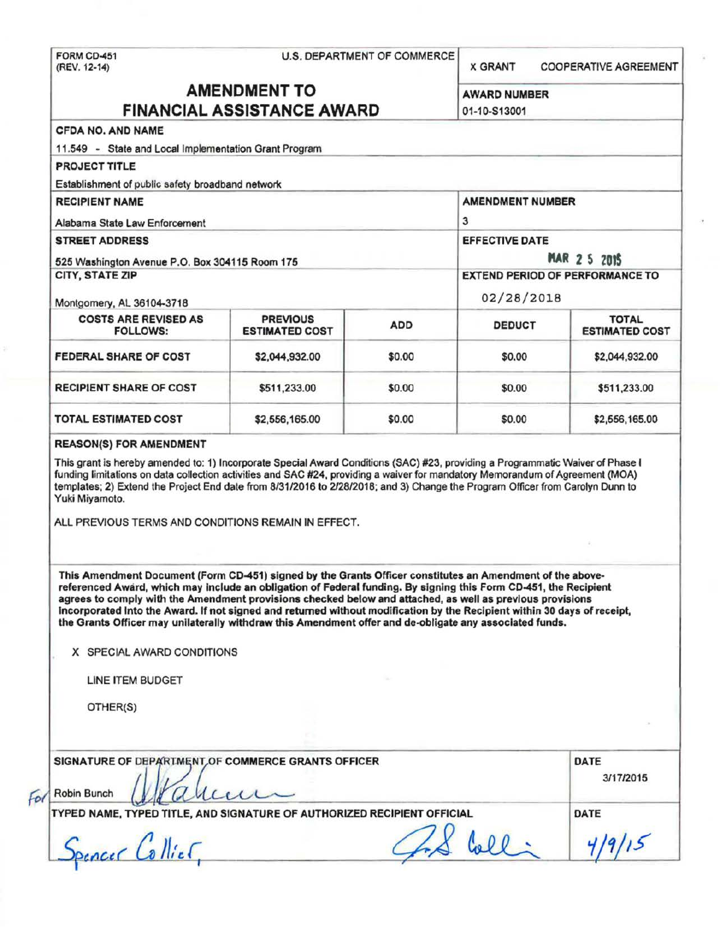FORM CD-451 U.S. DEPARTMENT OF COMMERCE<br>(REV. 12-14) **X GRANT COOPERATIVE AGREEMENT** AMENDMENT TO AWARD NUMBER FINANCIAL ASSISTANCE AWARD 01-10-S13001 CFOA NO. AND NAME 11 .549 - State and Local Implementation Grant Program PROJECT TITLE Establishment of public safety broadband network RECIPIENT NAME AMENDMENT NUMBER Alabama State Law Enforcement 3 STREET ADDRESS EFFECTIVE DATE: 525 Washington Avenue P.O. Box 304115 Room 175 **Interval 2 and 2 5 August 2 5 ZOIS** CITY, STATE ZIP EXTEND PERIOD OF PERFORMANCE TO Montgomery, AL 36104-3718 02/28/2018 COSTS ARE REVISED AS PREVIOUS ADD DEDUCT TOTAL TOTAL TOTAL FOLLOWS: **ESTIMATED COST** ESTIMATED COST ESTIMATED CO **FEDERAL SHARE OF COST 82.044.932.00 \$0.00 \$0.00 \$2.044.932.00** RECIPIENT SHARE OF COST  $\begin{array}{|c|c|c|c|c|c|c|c|c|} \hline \text{S511.233.00} & \text{S0.00} & \text{S0.00} & \text{S511.233.00} \hline \end{array}$ TOTAL ESTIMATED COST \$2,556,165.00 \$0.00 \$0.00 \$2,556,165.00 REASON(S) FOR AMENDMENT This grant is hereby amended to: 1) Incorporate Special Award Conditions (SAC) #23, providing a Programmatic Waiver of Phase I funding limitations on data collection activities and SAC #24, providing a waiver for mandatory Memorandum of Agreement (MOA) templates; 2) Extend the Project End date from 8/31/2016 to 2/28/2018; and 3) Change the Program Officer from Carolyn Dunn to Yuki Miyamoto. ALL PREVIOUS TERMS AND CONDITIONS REMAIN IN EFFECT. This Amendment Document (Form CD-451) signed by the Grants Officer constitutes an Amendment of the abovereferenced Award, which may Include an obligation of Federal funding. By signing this Form CD-451 , the Recipient agrees to comply with the Amendment provisions checked below and attached, as well as previous provisions Incorporated Into the Award. If not signed and returned without modification by the Recipient within 30 days of receipt, the Grants Officer may unilaterally withdraw this Amendment offer and de-obligate any associated funds. X SPECIAL AWARD CONDITIONS LINE ITEM BUDGET OTHER(S) SIGNATURE OF DEPARTMENT OF COMMERCE GRANTS OFFICER DATE 3/1712015 For Robin Bunch **I july COULCE COME:**<br>TYPED NAME, TYPED TITLE, AND SIGNATURE OF AUTHORIZED RECIPIENT OFFICIAL DATE FED NAME, TYPED TITLE, AND SIGNATURE OF AUTHORIZED RECIPIENT OFFICIAL DATE<br>Spencer Collier, 4/9/15 **T**